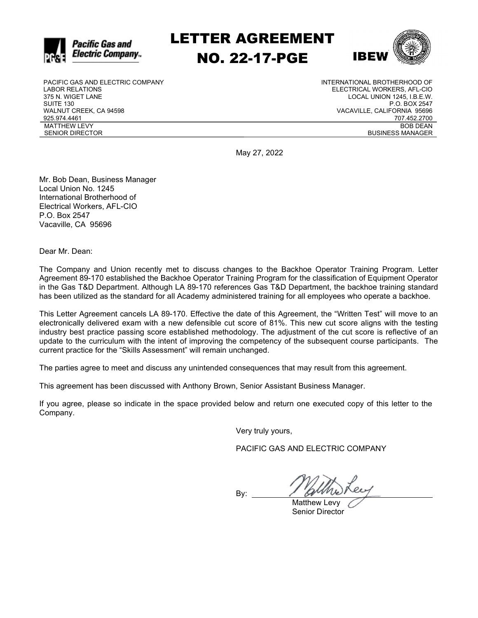

LETTER AGREEMENT NO. 22-17-PGE



PACIFIC GAS AND ELECTRIC COMPANY LABOR RELATIONS 375 N. WIGET LANE SUITE 130 WALNUT CREEK, CA 94598 925.974.4461 MATTHEW LEVY SENIOR DIRECTOR

INTERNATIONAL BROTHERHOOD OF ELECTRICAL WORKERS, AFL-CIO LOCAL UNION 1245, I.B.E.W. P.O. BOX 2547 VACAVILLE, CALIFORNIA 95696 707.452.2700 BOB DEAN BUSINESS MANAGER

May 27, 2022

Mr. Bob Dean, Business Manager Local Union No. 1245 International Brotherhood of Electrical Workers, AFL-CIO P.O. Box 2547 Vacaville, CA 95696

Dear Mr. Dean:

The Company and Union recently met to discuss changes to the Backhoe Operator Training Program. Letter Agreement 89-170 established the Backhoe Operator Training Program for the classification of Equipment Operator in the Gas T&D Department. Although LA 89-170 references Gas T&D Department, the backhoe training standard has been utilized as the standard for all Academy administered training for all employees who operate a backhoe.

This Letter Agreement cancels LA 89-170. Effective the date of this Agreement, the "Written Test" will move to an electronically delivered exam with a new defensible cut score of 81%. This new cut score aligns with the testing industry best practice passing score established methodology. The adjustment of the cut score is reflective of an update to the curriculum with the intent of improving the competency of the subsequent course participants. The current practice for the "Skills Assessment" will remain unchanged.

The parties agree to meet and discuss any unintended consequences that may result from this agreement.

This agreement has been discussed with Anthony Brown, Senior Assistant Business Manager.

If you agree, please so indicate in the space provided below and return one executed copy of this letter to the Company.

Very truly yours,

PACIFIC GAS AND ELECTRIC COMPANY

By:

 Matthew Levy Senior Director